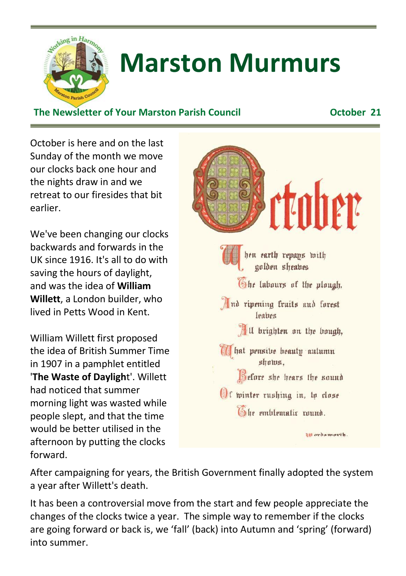

# **Marston Murmurs**

#### **The Newsletter of Your Marston Parish Council October 21**

October is here and on the last Sunday of the month we move our clocks back one hour and the nights draw in and we retreat to our firesides that bit earlier.

We've been changing our clocks backwards and forwards in the UK since 1916. It's all to do with saving the hours of daylight, and was the idea of **William Willett**, a London builder, who lived in Petts Wood in Kent.

William Willett first proposed the idea of British Summer Time in 1907 in a pamphlet entitled '**The Waste of Dayligh**t'. Willett had noticed that summer morning light was wasted while people slept, and that the time would be better utilised in the afternoon by putting the clocks forward.



After campaigning for years, the British Government finally adopted the system a year after Willett's death.

It has been a controversial move from the start and few people appreciate the changes of the clocks twice a year. The simple way to remember if the clocks are going forward or back is, we 'fall' (back) into Autumn and 'spring' (forward) into summer.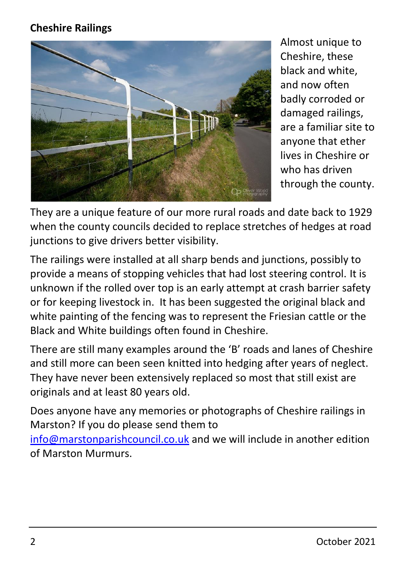#### **Cheshire Railings**



Almost unique to Cheshire, these black and white, and now often badly corroded or damaged railings, are a familiar site to anyone that ether lives in Cheshire or who has driven through the county.

They are a unique feature of our more rural roads and date back to 1929 when the county councils decided to replace stretches of hedges at road junctions to give drivers better visibility.

The railings were installed at all sharp bends and junctions, possibly to provide a means of stopping vehicles that had lost steering control. It is unknown if the rolled over top is an early attempt at crash barrier safety or for keeping livestock in. It has been suggested the original black and white painting of the fencing was to represent the Friesian cattle or the Black and White buildings often found in Cheshire.

There are still many examples around the 'B' roads and lanes of Cheshire and still more can been seen knitted into hedging after years of neglect. They have never been extensively replaced so most that still exist are originals and at least 80 years old.

Does anyone have any memories or photographs of Cheshire railings in Marston? If you do please send them to [info@marstonparishcouncil.co.uk](mailto:info@marstonparishcouncil.co.uk) and we will include in another edition of Marston Murmurs.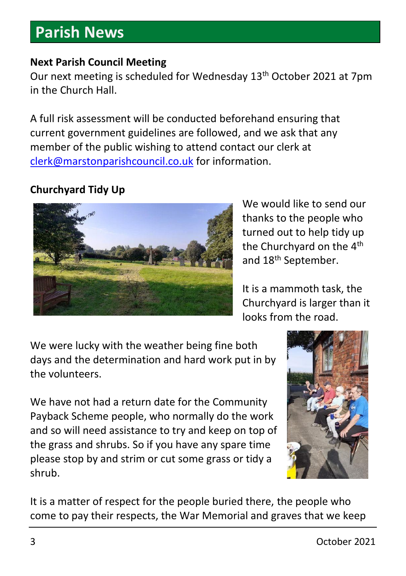### **Parish News**

#### **Next Parish Council Meeting**

Our next meeting is scheduled for Wednesday 13<sup>th</sup> October 2021 at 7pm in the Church Hall.

A full risk assessment will be conducted beforehand ensuring that current government guidelines are followed, and we ask that any member of the public wishing to attend contact our clerk at [clerk@marstonparishcouncil.co.uk](mailto:clerk@marstonparishcouncil.co.uk) for information.

#### **Churchyard Tidy Up**



We would like to send our thanks to the people who turned out to help tidy up the Churchyard on the 4<sup>th</sup> and 18<sup>th</sup> September.

It is a mammoth task, the Churchyard is larger than it looks from the road.

We were lucky with the weather being fine both days and the determination and hard work put in by the volunteers.

We have not had a return date for the Community Payback Scheme people, who normally do the work and so will need assistance to try and keep on top of the grass and shrubs. So if you have any spare time please stop by and strim or cut some grass or tidy a shrub.



It is a matter of respect for the people buried there, the people who come to pay their respects, the War Memorial and graves that we keep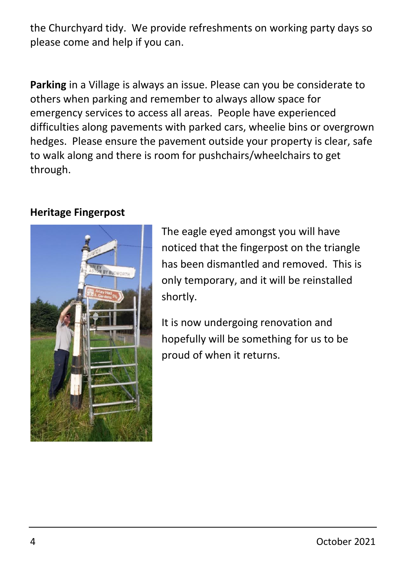the Churchyard tidy. We provide refreshments on working party days so please come and help if you can.

**Parking** in a Village is always an issue. Please can you be considerate to others when parking and remember to always allow space for emergency services to access all areas. People have experienced difficulties along pavements with parked cars, wheelie bins or overgrown hedges. Please ensure the pavement outside your property is clear, safe to walk along and there is room for pushchairs/wheelchairs to get through.

#### **Heritage Fingerpost**



The eagle eyed amongst you will have noticed that the fingerpost on the triangle has been dismantled and removed. This is only temporary, and it will be reinstalled shortly.

It is now undergoing renovation and hopefully will be something for us to be proud of when it returns.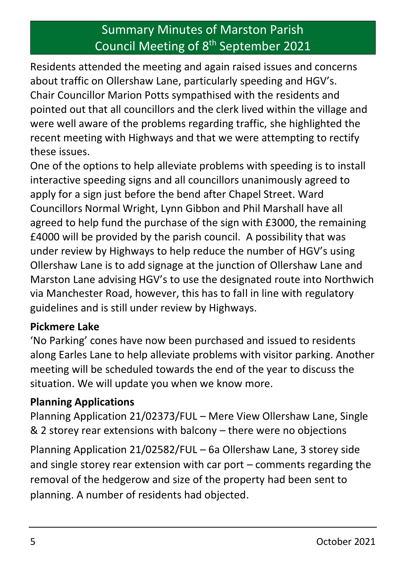### Summary Minutes of Marston Parish Council Meeting of 8<sup>th</sup> September 2021

Residents attended the meeting and again raised issues and concerns about traffic on Ollershaw Lane, particularly speeding and HGV's. Chair Councillor Marion Potts sympathised with the residents and pointed out that all councillors and the clerk lived within the village and were well aware of the problems regarding traffic, she highlighted the recent meeting with Highways and that we were attempting to rectify these issues.

One of the options to help alleviate problems with speeding is to install interactive speeding signs and all councillors unanimously agreed to apply for a sign just before the bend after Chapel Street. Ward Councillors Normal Wright, Lynn Gibbon and Phil Marshall have all agreed to help fund the purchase of the sign with £3000, the remaining £4000 will be provided by the parish council. A possibility that was under review by Highways to help reduce the number of HGV's using Ollershaw Lane is to add signage at the junction of Ollershaw Lane and Marston Lane advising HGV's to use the designated route into Northwich via Manchester Road, however, this has to fall in line with regulatory guidelines and is still under review by Highways.

#### **Pickmere Lake**

'No Parking' cones have now been purchased and issued to residents along Earles Lane to help alleviate problems with visitor parking. Another meeting will be scheduled towards the end of the year to discuss the situation. We will update you when we know more.

#### **Planning Applications**

Planning Application 21/02373/FUL – Mere View Ollershaw Lane, Single & 2 storey rear extensions with balcony – there were no objections

Planning Application 21/02582/FUL – 6a Ollershaw Lane, 3 storey side and single storey rear extension with car port – comments regarding the removal of the hedgerow and size of the property had been sent to planning. A number of residents had objected.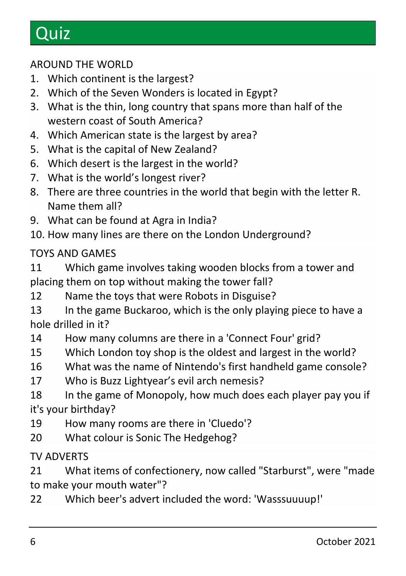# **Quiz**

#### AROUND THE WORLD

- 1. Which continent is the largest?
- 2. Which of the Seven Wonders is located in Egypt?
- 3. What is the thin, long country that spans more than half of the western coast of South America?
- 4. Which American state is the largest by area?
- 5. What is the capital of New Zealand?
- 6. Which desert is the largest in the world?
- 7. What is the world's longest river?
- 8. There are three countries in the world that begin with the letter R. Name them all?
- 9. What can be found at Agra in India?
- 10. How many lines are there on the London Underground?

#### TOYS AND GAMES

11 Which game involves taking wooden blocks from a tower and placing them on top without making the tower fall?

- 12 Name the toys that were Robots in Disguise?
- 13 In the game Buckaroo, which is the only playing piece to have a hole drilled in it?
- 14 How many columns are there in a 'Connect Four' grid?
- 15 Which London toy shop is the oldest and largest in the world?
- 16 What was the name of Nintendo's first handheld game console?
- 17 Who is Buzz Lightyear's evil arch nemesis?

18 In the game of Monopoly, how much does each player pay you if it's your birthday?

- 19 How many rooms are there in 'Cluedo'?
- 20 What colour is Sonic The Hedgehog?

#### TV ADVERTS

21 What items of confectionery, now called "Starburst", were "made to make your mouth water"?

22 Which beer's advert included the word: 'Wasssuuuup!'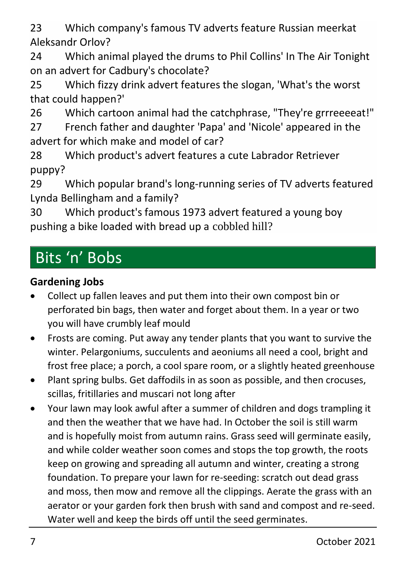23 Which company's famous TV adverts feature Russian meerkat Aleksandr Orlov?

24 Which animal played the drums to Phil Collins' In The Air Tonight on an advert for Cadbury's chocolate?

25 Which fizzy drink advert features the slogan, 'What's the worst that could happen?'

26 Which cartoon animal had the catchphrase, "They're grrreeeeat!"

27 French father and daughter 'Papa' and 'Nicole' appeared in the advert for which make and model of car?

28 Which product's advert features a cute Labrador Retriever puppy?

29 Which popular brand's long-running series of TV adverts featured Lynda Bellingham and a family?

30 Which product's famous 1973 advert featured a young boy pushing a bike loaded with bread up a cobbled hill?

### Bits 'n' Bobs

#### **Gardening Jobs**

- Collect up fallen leaves and put them into their own compost bin or perforated bin bags, then water and forget about them. In a year or two you will have crumbly leaf mould
- Frosts are coming. Put away any tender plants that you want to survive the winter. Pelargoniums, succulents and aeoniums all need a cool, bright and frost free place; a porch, a cool spare room, or a slightly heated greenhouse
- Plant spring bulbs. Get daffodils in as soon as possible, and then crocuses, scillas, fritillaries and muscari not long after
- Your lawn may look awful after a summer of children and dogs trampling it and then the weather that we have had. In October the soil is still warm and is hopefully moist from autumn rains. Grass seed will germinate easily, and while colder weather soon comes and stops the top growth, the roots keep on growing and spreading all autumn and winter, creating a strong foundation. To prepare your lawn for re-seeding: scratch out dead grass and moss, then mow and remove all the clippings. Aerate the grass with an aerator or your garden fork then brush with sand and compost and re-seed. Water well and keep the birds off until the seed germinates.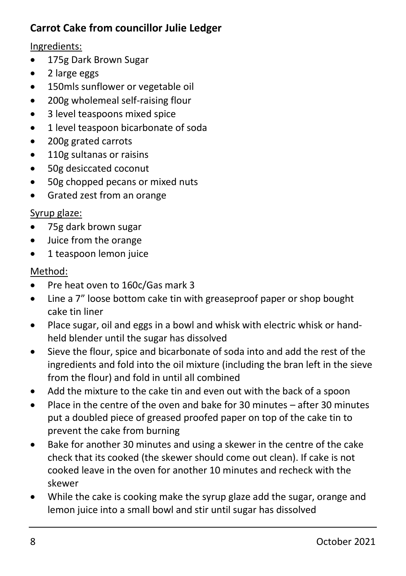#### **Carrot Cake from councillor Julie Ledger**

#### Ingredients:

- 175g Dark Brown Sugar
- 2 large eggs
- 150mls sunflower or vegetable oil
- 200g wholemeal self-raising flour
- 3 level teaspoons mixed spice
- 1 level teaspoon bicarbonate of soda
- 200g grated carrots
- 110g sultanas or raisins
- 50g desiccated coconut
- 50g chopped pecans or mixed nuts
- Grated zest from an orange

#### Syrup glaze:

- 75g dark brown sugar
- Juice from the orange
- 1 teaspoon lemon juice

#### Method:

- Pre heat oven to 160c/Gas mark 3
- Line a 7" loose bottom cake tin with greaseproof paper or shop bought cake tin liner
- Place sugar, oil and eggs in a bowl and whisk with electric whisk or handheld blender until the sugar has dissolved
- Sieve the flour, spice and bicarbonate of soda into and add the rest of the ingredients and fold into the oil mixture (including the bran left in the sieve from the flour) and fold in until all combined
- Add the mixture to the cake tin and even out with the back of a spoon
- Place in the centre of the oven and bake for 30 minutes after 30 minutes put a doubled piece of greased proofed paper on top of the cake tin to prevent the cake from burning
- Bake for another 30 minutes and using a skewer in the centre of the cake check that its cooked (the skewer should come out clean). If cake is not cooked leave in the oven for another 10 minutes and recheck with the skewer
- While the cake is cooking make the syrup glaze add the sugar, orange and lemon juice into a small bowl and stir until sugar has dissolved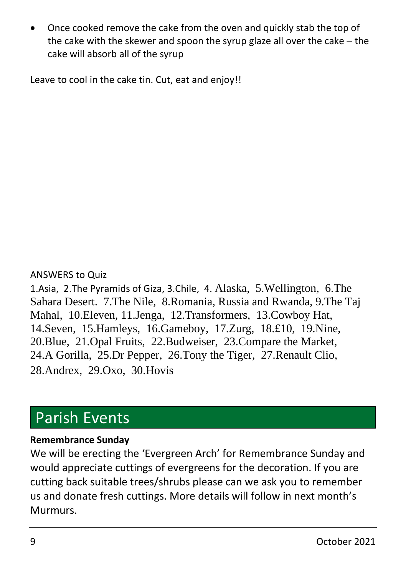• Once cooked remove the cake from the oven and quickly stab the top of the cake with the skewer and spoon the syrup glaze all over the cake – the cake will absorb all of the syrup

Leave to cool in the cake tin. Cut, eat and enjoy!!

#### ANSWERS to Quiz

1.Asia, 2.The Pyramids of Giza, 3.Chile, 4. Alaska, 5.Wellington, 6.The Sahara Desert. 7.The Nile, 8.Romania, Russia and Rwanda, 9.The Taj Mahal, 10.Eleven, 11.Jenga, 12.Transformers, 13.Cowboy Hat, 14.Seven, 15.Hamleys, 16.Gameboy, 17.Zurg, 18.£10, 19.Nine, 20.Blue, 21.Opal Fruits, 22.Budweiser, 23.Compare the Market, 24.A Gorilla, 25.Dr Pepper, 26.Tony the Tiger, 27.Renault Clio, 28.Andrex, 29.Oxo, 30.Hovis

### Parish Events

#### **Remembrance Sunday**

We will be erecting the 'Evergreen Arch' for Remembrance Sunday and would appreciate cuttings of evergreens for the decoration. If you are cutting back suitable trees/shrubs please can we ask you to remember us and donate fresh cuttings. More details will follow in next month's Murmurs.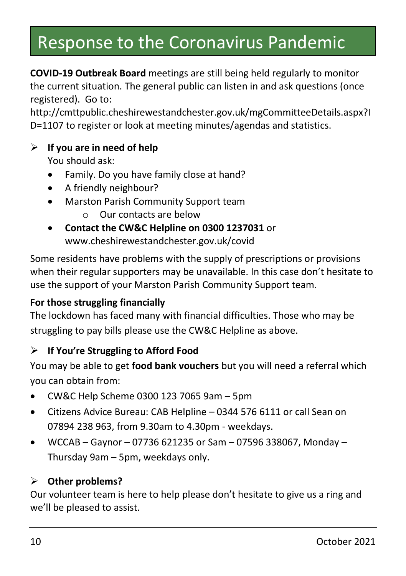# Response to the Coronavirus Pandemic

**COVID-19 Outbreak Board** meetings are still being held regularly to monitor the current situation. The general public can listen in and ask questions (once registered). Go to:

http://cmttpublic.cheshirewestandchester.gov.uk/mgCommitteeDetails.aspx?I D=1107 to register or look at meeting minutes/agendas and statistics.

#### ➢ **If you are in need of help**

You should ask:

- Family. Do you have family close at hand?
- A friendly neighbour?
- Marston Parish Community Support team
	- o Our contacts are below
- **Contact the CW&C Helpline on 0300 1237031** or www.cheshirewestandchester.gov.uk/covid

Some residents have problems with the supply of prescriptions or provisions when their regular supporters may be unavailable. In this case don't hesitate to use the support of your Marston Parish Community Support team.

#### **For those struggling financially**

The lockdown has faced many with financial difficulties. Those who may be struggling to pay bills please use the CW&C Helpline as above.

#### ➢ **If You're Struggling to Afford Food**

You may be able to get **food bank vouchers** but you will need a referral which you can obtain from:

- CW&C Help Scheme 0300 123 7065 9am 5pm
- Citizens Advice Bureau: CAB Helpline 0344 576 6111 or call Sean on 07894 238 963, from 9.30am to 4.30pm - weekdays.
- WCCAB Gaynor 07736 621235 or Sam 07596 338067, Monday Thursday 9am – 5pm, weekdays only.

#### ➢ **Other problems?**

Our volunteer team is here to help please don't hesitate to give us a ring and we'll be pleased to assist.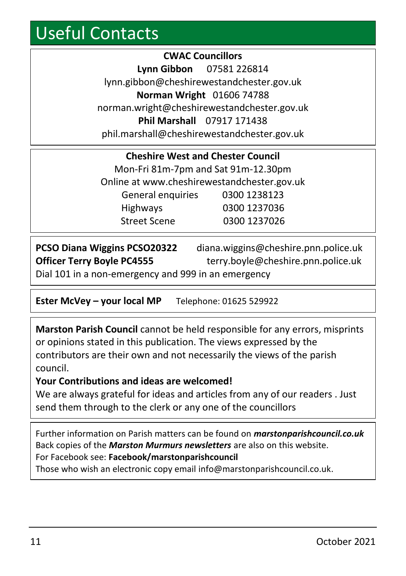# Useful Contacts

**CWAC Councillors Lynn Gibbon** 07581 226814 lynn.gibbon@cheshirewestandchester.gov.uk **Norman Wright** 01606 74788 norman.wright@cheshirewestandchester.gov.uk **Phil Marshall** 07917 171438 phil.marshall@cheshirewestandchester.gov.uk

| <b>Cheshire West and Chester Council</b>    |  |  |
|---------------------------------------------|--|--|
| Mon-Fri 81m-7pm and Sat 91m-12.30pm         |  |  |
| Online at www.cheshirewestandchester.gov.uk |  |  |
| 0300 1238123                                |  |  |
| 0300 1237036                                |  |  |
| 0300 1237026                                |  |  |
|                                             |  |  |

| <b>PCSO Diana Wiggins PCSO20322</b>                 | diana.wiggins@cheshire.pnn.police.uk |
|-----------------------------------------------------|--------------------------------------|
| <b>Officer Terry Boyle PC4555</b>                   | terry.boyle@cheshire.pnn.police.uk   |
| Dial 101 in a non-emergency and 999 in an emergency |                                      |

**Ester McVey – your local MP** Telephone: 01625 529922

**Marston Parish Council** cannot be held responsible for any errors, misprints or opinions stated in this publication. The views expressed by the contributors are their own and not necessarily the views of the parish council.

#### **Your Contributions and ideas are welcomed!**

We are always grateful for ideas and articles from any of our readers . Just send them through to the clerk or any one of the councillors

Further information on Parish matters can be found on *marstonparishcouncil.co.uk* Back copies of the *Marston Murmurs newsletters* are also on this website. For Facebook see: **Facebook/marstonparishcouncil**

Those who wish an electronic copy email info@marstonparishcouncil.co.uk.